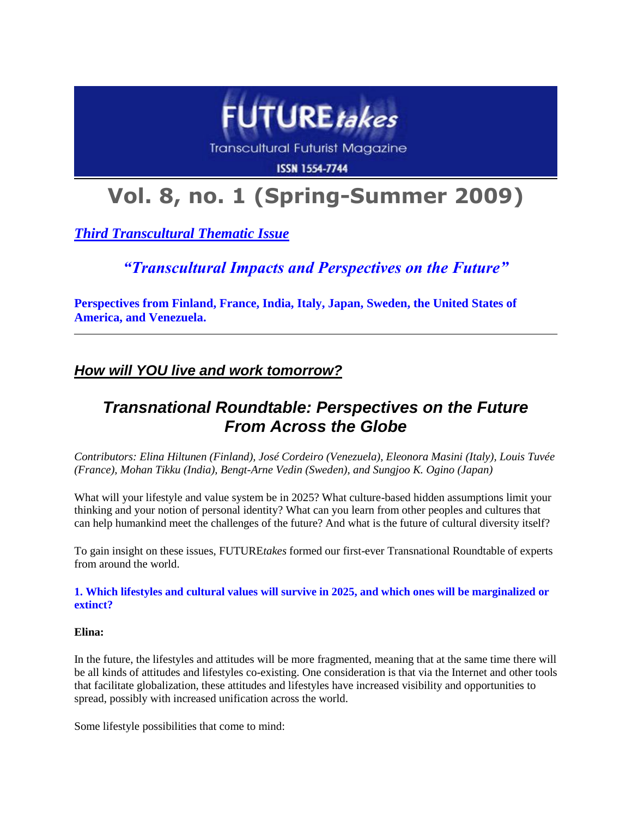

**Transcultural Futurist Magazine** 

**ISSN 1554-7744** 

# **Vol. 8, no. 1 (Spring-Summer 2009)**

*Third Transcultural Thematic Issue*

*"Transcultural Impacts and Perspectives on the Future"*

**Perspectives from Finland, France, India, Italy, Japan, Sweden, the United States of America, and Venezuela.**

*How will YOU live and work tomorrow?*

# *Transnational Roundtable: Perspectives on the Future From Across the Globe*

*Contributors: Elina Hiltunen (Finland), José Cordeiro (Venezuela), Eleonora Masini (Italy), Louis Tuvée (France), Mohan Tikku (India), Bengt-Arne Vedin (Sweden), and Sungjoo K. Ogino (Japan)*

What will your lifestyle and value system be in 2025? What culture-based hidden assumptions limit your thinking and your notion of personal identity? What can you learn from other peoples and cultures that can help humankind meet the challenges of the future? And what is the future of cultural diversity itself?

To gain insight on these issues, FUTURE*takes* formed our first-ever Transnational Roundtable of experts from around the world.

# **1. Which lifestyles and cultural values will survive in 2025, and which ones will be marginalized or extinct?**

# **Elina:**

In the future, the lifestyles and attitudes will be more fragmented, meaning that at the same time there will be all kinds of attitudes and lifestyles co-existing. One consideration is that via the Internet and other tools that facilitate globalization, these attitudes and lifestyles have increased visibility and opportunities to spread, possibly with increased unification across the world.

Some lifestyle possibilities that come to mind: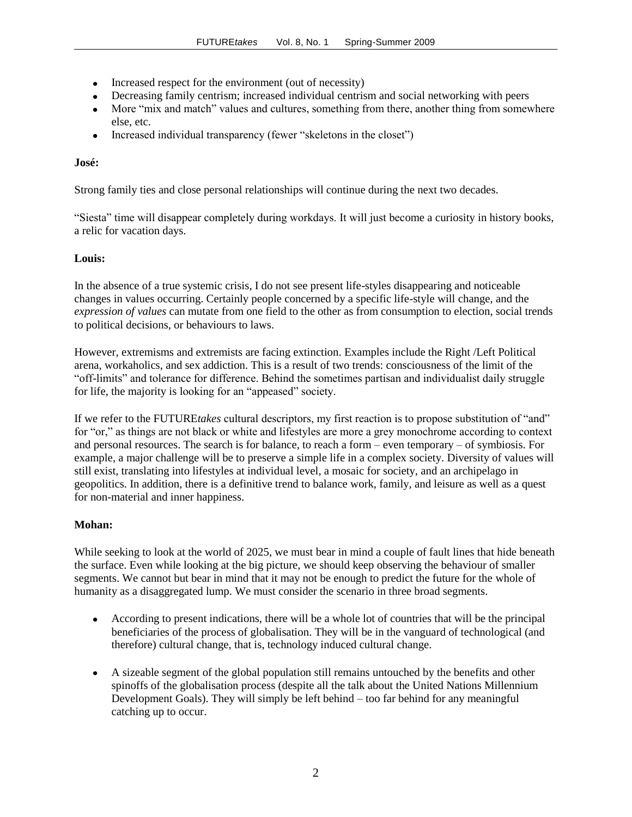- Increased respect for the environment (out of necessity)
- Decreasing family centrism; increased individual centrism and social networking with peers
- More "mix and match" values and cultures, something from there, another thing from somewhere else, etc.
- Increased individual transparency (fewer "skeletons in the closet")  $\bullet$

# **José:**

Strong family ties and close personal relationships will continue during the next two decades.

"Siesta" time will disappear completely during workdays. It will just become a curiosity in history books, a relic for vacation days.

# **Louis:**

In the absence of a true systemic crisis, I do not see present life-styles disappearing and noticeable changes in values occurring. Certainly people concerned by a specific life-style will change, and the *expression of values* can mutate from one field to the other as from consumption to election, social trends to political decisions, or behaviours to laws.

However, extremisms and extremists are facing extinction. Examples include the Right /Left Political arena, workaholics, and sex addiction. This is a result of two trends: consciousness of the limit of the "off-limits" and tolerance for difference. Behind the sometimes partisan and individualist daily struggle for life, the majority is looking for an "appeased" society.

If we refer to the FUTURE*takes* cultural descriptors, my first reaction is to propose substitution of "and" for "or," as things are not black or white and lifestyles are more a grey monochrome according to context and personal resources. The search is for balance, to reach a form – even temporary – of symbiosis. For example, a major challenge will be to preserve a simple life in a complex society. Diversity of values will still exist, translating into lifestyles at individual level, a mosaic for society, and an archipelago in geopolitics. In addition, there is a definitive trend to balance work, family, and leisure as well as a quest for non-material and inner happiness.

# **Mohan:**

While seeking to look at the world of 2025, we must bear in mind a couple of fault lines that hide beneath the surface. Even while looking at the big picture, we should keep observing the behaviour of smaller segments. We cannot but bear in mind that it may not be enough to predict the future for the whole of humanity as a disaggregated lump. We must consider the scenario in three broad segments.

- According to present indications, there will be a whole lot of countries that will be the principal  $\bullet$ beneficiaries of the process of globalisation. They will be in the vanguard of technological (and therefore) cultural change, that is, technology induced cultural change.
- A sizeable segment of the global population still remains untouched by the benefits and other spinoffs of the globalisation process (despite all the talk about the United Nations Millennium Development Goals). They will simply be left behind – too far behind for any meaningful catching up to occur.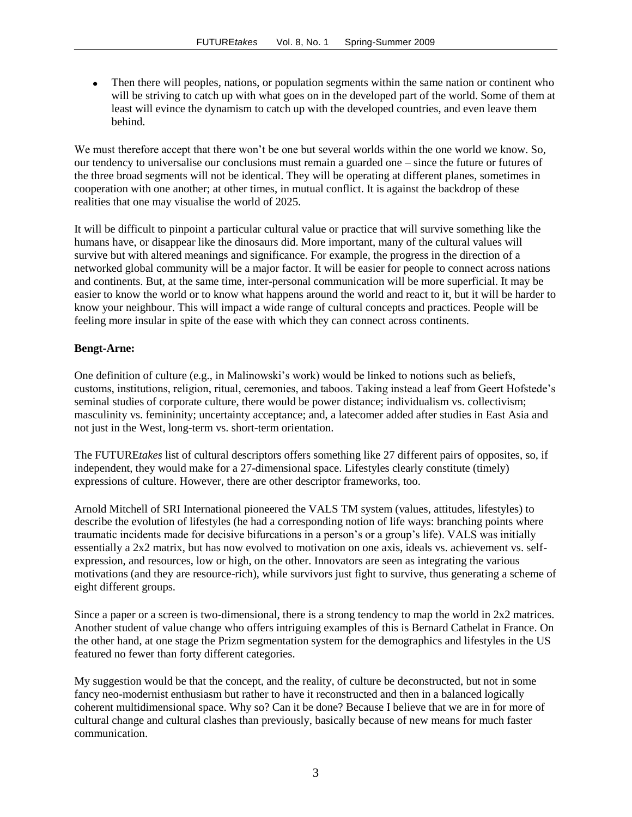Then there will peoples, nations, or population segments within the same nation or continent who will be striving to catch up with what goes on in the developed part of the world. Some of them at least will evince the dynamism to catch up with the developed countries, and even leave them behind.

We must therefore accept that there won't be one but several worlds within the one world we know. So, our tendency to universalise our conclusions must remain a guarded one – since the future or futures of the three broad segments will not be identical. They will be operating at different planes, sometimes in cooperation with one another; at other times, in mutual conflict. It is against the backdrop of these realities that one may visualise the world of 2025.

It will be difficult to pinpoint a particular cultural value or practice that will survive something like the humans have, or disappear like the dinosaurs did. More important, many of the cultural values will survive but with altered meanings and significance. For example, the progress in the direction of a networked global community will be a major factor. It will be easier for people to connect across nations and continents. But, at the same time, inter-personal communication will be more superficial. It may be easier to know the world or to know what happens around the world and react to it, but it will be harder to know your neighbour. This will impact a wide range of cultural concepts and practices. People will be feeling more insular in spite of the ease with which they can connect across continents.

#### **Bengt-Arne:**

One definition of culture (e.g., in Malinowski"s work) would be linked to notions such as beliefs, customs, institutions, religion, ritual, ceremonies, and taboos. Taking instead a leaf from Geert Hofstede"s seminal studies of corporate culture, there would be power distance; individualism vs. collectivism; masculinity vs. femininity; uncertainty acceptance; and, a latecomer added after studies in East Asia and not just in the West, long-term vs. short-term orientation.

The FUTURE*takes* list of cultural descriptors offers something like 27 different pairs of opposites, so, if independent, they would make for a 27-dimensional space. Lifestyles clearly constitute (timely) expressions of culture. However, there are other descriptor frameworks, too.

Arnold Mitchell of SRI International pioneered the VALS TM system (values, attitudes, lifestyles) to describe the evolution of lifestyles (he had a corresponding notion of life ways: branching points where traumatic incidents made for decisive bifurcations in a person"s or a group"s life). VALS was initially essentially a 2x2 matrix, but has now evolved to motivation on one axis, ideals vs. achievement vs. selfexpression, and resources, low or high, on the other. Innovators are seen as integrating the various motivations (and they are resource-rich), while survivors just fight to survive, thus generating a scheme of eight different groups.

Since a paper or a screen is two-dimensional, there is a strong tendency to map the world in 2x2 matrices. Another student of value change who offers intriguing examples of this is Bernard Cathelat in France. On the other hand, at one stage the Prizm segmentation system for the demographics and lifestyles in the US featured no fewer than forty different categories.

My suggestion would be that the concept, and the reality, of culture be deconstructed, but not in some fancy neo-modernist enthusiasm but rather to have it reconstructed and then in a balanced logically coherent multidimensional space. Why so? Can it be done? Because I believe that we are in for more of cultural change and cultural clashes than previously, basically because of new means for much faster communication.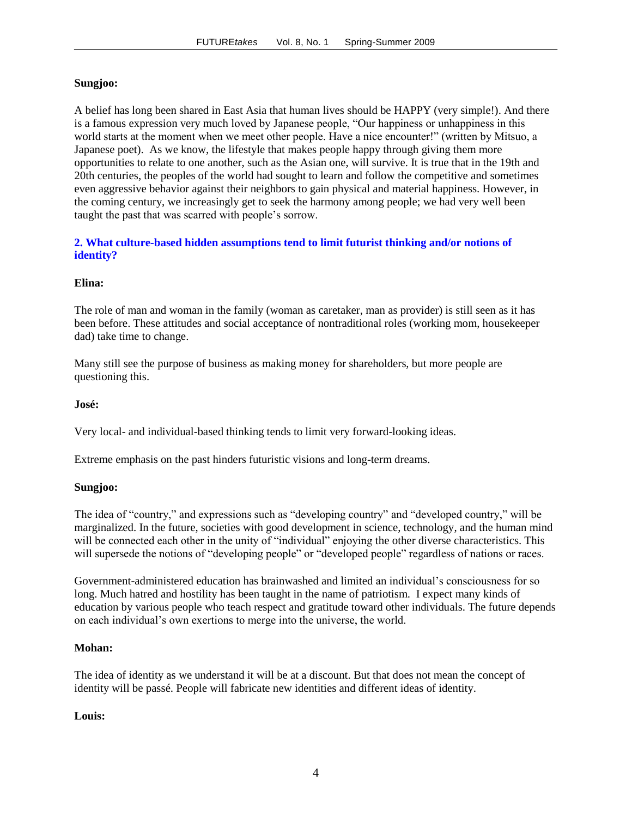#### **Sungjoo:**

A belief has long been shared in East Asia that human lives should be HAPPY (very simple!). And there is a famous expression very much loved by Japanese people, "Our happiness or unhappiness in this world starts at the moment when we meet other people. Have a nice encounter!" (written by Mitsuo, a Japanese poet). As we know, the lifestyle that makes people happy through giving them more opportunities to relate to one another, such as the Asian one, will survive. It is true that in the 19th and 20th centuries, the peoples of the world had sought to learn and follow the competitive and sometimes even aggressive behavior against their neighbors to gain physical and material happiness. However, in the coming century, we increasingly get to seek the harmony among people; we had very well been taught the past that was scarred with people"s sorrow.

# **2. What culture-based hidden assumptions tend to limit futurist thinking and/or notions of identity?**

#### **Elina:**

The role of man and woman in the family (woman as caretaker, man as provider) is still seen as it has been before. These attitudes and social acceptance of nontraditional roles (working mom, housekeeper dad) take time to change.

Many still see the purpose of business as making money for shareholders, but more people are questioning this.

#### **José:**

Very local- and individual-based thinking tends to limit very forward-looking ideas.

Extreme emphasis on the past hinders futuristic visions and long-term dreams.

#### **Sungjoo:**

The idea of "country," and expressions such as "developing country" and "developed country," will be marginalized. In the future, societies with good development in science, technology, and the human mind will be connected each other in the unity of "individual" enjoying the other diverse characteristics. This will supersede the notions of "developing people" or "developed people" regardless of nations or races.

Government-administered education has brainwashed and limited an individual"s consciousness for so long. Much hatred and hostility has been taught in the name of patriotism. I expect many kinds of education by various people who teach respect and gratitude toward other individuals. The future depends on each individual"s own exertions to merge into the universe, the world.

#### **Mohan:**

The idea of identity as we understand it will be at a discount. But that does not mean the concept of identity will be passé. People will fabricate new identities and different ideas of identity.

#### **Louis:**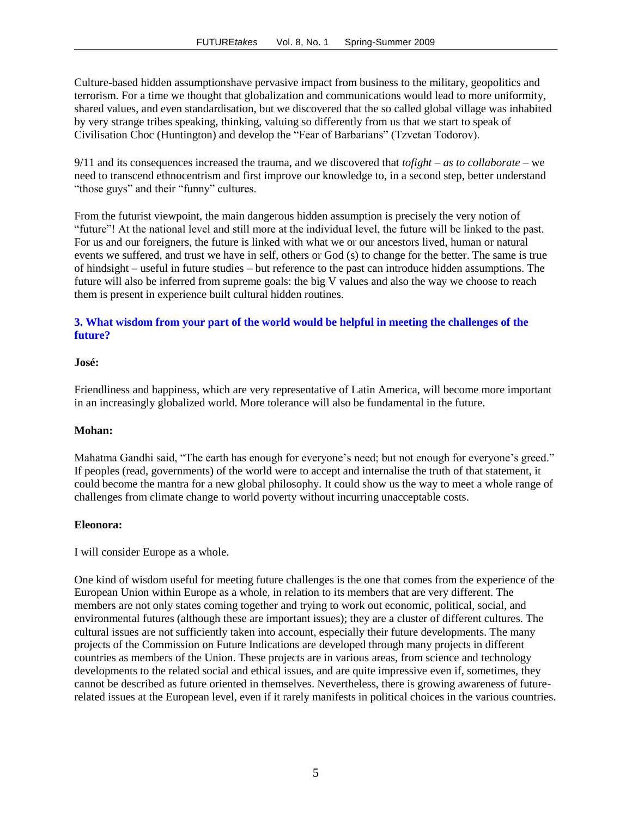Culture-based hidden assumptionshave pervasive impact from business to the military, geopolitics and terrorism. For a time we thought that globalization and communications would lead to more uniformity, shared values, and even standardisation, but we discovered that the so called global village was inhabited by very strange tribes speaking, thinking, valuing so differently from us that we start to speak of Civilisation Choc (Huntington) and develop the "Fear of Barbarians" (Tzvetan Todorov).

9/11 and its consequences increased the trauma, and we discovered that *tofight – as to collaborate* – we need to transcend ethnocentrism and first improve our knowledge to, in a second step, better understand "those guys" and their "funny" cultures.

From the futurist viewpoint, the main dangerous hidden assumption is precisely the very notion of "future"! At the national level and still more at the individual level, the future will be linked to the past. For us and our foreigners, the future is linked with what we or our ancestors lived, human or natural events we suffered, and trust we have in self, others or God (s) to change for the better. The same is true of hindsight – useful in future studies – but reference to the past can introduce hidden assumptions. The future will also be inferred from supreme goals: the big V values and also the way we choose to reach them is present in experience built cultural hidden routines.

# **3. What wisdom from your part of the world would be helpful in meeting the challenges of the future?**

#### **José:**

Friendliness and happiness, which are very representative of Latin America, will become more important in an increasingly globalized world. More tolerance will also be fundamental in the future.

#### **Mohan:**

Mahatma Gandhi said, "The earth has enough for everyone"s need; but not enough for everyone"s greed." If peoples (read, governments) of the world were to accept and internalise the truth of that statement, it could become the mantra for a new global philosophy. It could show us the way to meet a whole range of challenges from climate change to world poverty without incurring unacceptable costs.

#### **Eleonora:**

I will consider Europe as a whole.

One kind of wisdom useful for meeting future challenges is the one that comes from the experience of the European Union within Europe as a whole, in relation to its members that are very different. The members are not only states coming together and trying to work out economic, political, social, and environmental futures (although these are important issues); they are a cluster of different cultures. The cultural issues are not sufficiently taken into account, especially their future developments. The many projects of the Commission on Future Indications are developed through many projects in different countries as members of the Union. These projects are in various areas, from science and technology developments to the related social and ethical issues, and are quite impressive even if, sometimes, they cannot be described as future oriented in themselves. Nevertheless, there is growing awareness of futurerelated issues at the European level, even if it rarely manifests in political choices in the various countries.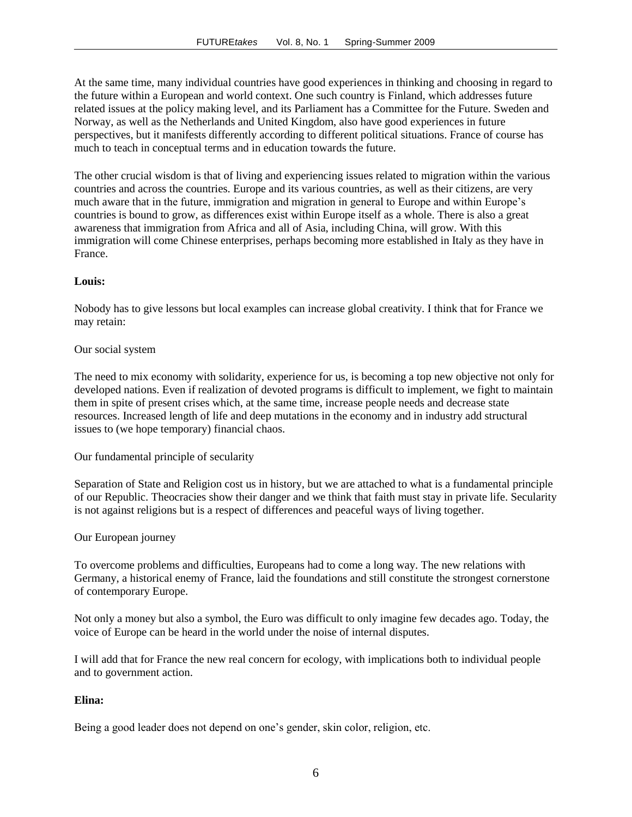At the same time, many individual countries have good experiences in thinking and choosing in regard to the future within a European and world context. One such country is Finland, which addresses future related issues at the policy making level, and its Parliament has a Committee for the Future. Sweden and Norway, as well as the Netherlands and United Kingdom, also have good experiences in future perspectives, but it manifests differently according to different political situations. France of course has much to teach in conceptual terms and in education towards the future.

The other crucial wisdom is that of living and experiencing issues related to migration within the various countries and across the countries. Europe and its various countries, as well as their citizens, are very much aware that in the future, immigration and migration in general to Europe and within Europe"s countries is bound to grow, as differences exist within Europe itself as a whole. There is also a great awareness that immigration from Africa and all of Asia, including China, will grow. With this immigration will come Chinese enterprises, perhaps becoming more established in Italy as they have in France.

#### **Louis:**

Nobody has to give lessons but local examples can increase global creativity. I think that for France we may retain:

#### Our social system

The need to mix economy with solidarity, experience for us, is becoming a top new objective not only for developed nations. Even if realization of devoted programs is difficult to implement, we fight to maintain them in spite of present crises which, at the same time, increase people needs and decrease state resources. Increased length of life and deep mutations in the economy and in industry add structural issues to (we hope temporary) financial chaos.

Our fundamental principle of secularity

Separation of State and Religion cost us in history, but we are attached to what is a fundamental principle of our Republic. Theocracies show their danger and we think that faith must stay in private life. Secularity is not against religions but is a respect of differences and peaceful ways of living together.

#### Our European journey

To overcome problems and difficulties, Europeans had to come a long way. The new relations with Germany, a historical enemy of France, laid the foundations and still constitute the strongest cornerstone of contemporary Europe.

Not only a money but also a symbol, the Euro was difficult to only imagine few decades ago. Today, the voice of Europe can be heard in the world under the noise of internal disputes.

I will add that for France the new real concern for ecology, with implications both to individual people and to government action.

#### **Elina:**

Being a good leader does not depend on one's gender, skin color, religion, etc.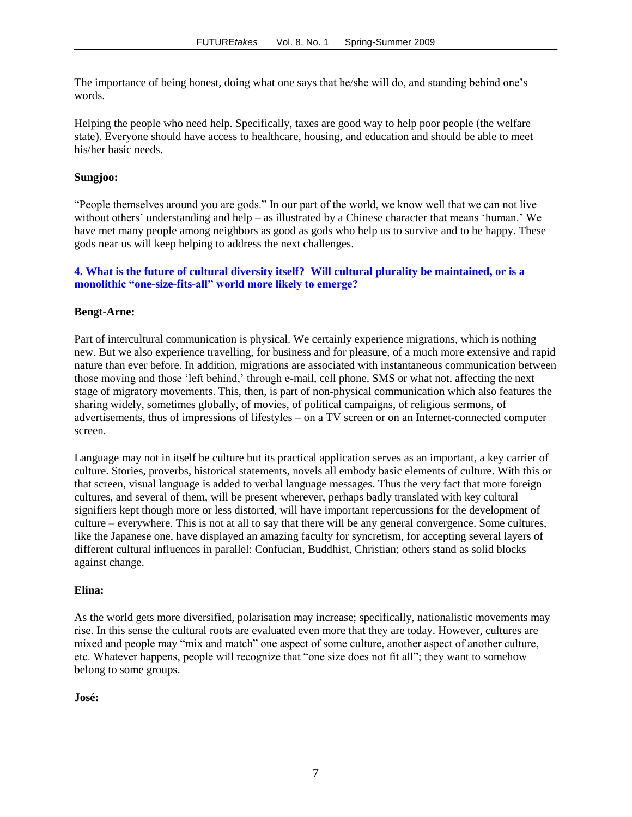The importance of being honest, doing what one says that he/she will do, and standing behind one"s words.

Helping the people who need help. Specifically, taxes are good way to help poor people (the welfare state). Everyone should have access to healthcare, housing, and education and should be able to meet his/her basic needs.

#### **Sungjoo:**

"People themselves around you are gods." In our part of the world, we know well that we can not live without others' understanding and help – as illustrated by a Chinese character that means 'human.' We have met many people among neighbors as good as gods who help us to survive and to be happy. These gods near us will keep helping to address the next challenges.

# **4. What is the future of cultural diversity itself? Will cultural plurality be maintained, or is a monolithic "one-size-fits-all" world more likely to emerge?**

#### **Bengt-Arne:**

Part of intercultural communication is physical. We certainly experience migrations, which is nothing new. But we also experience travelling, for business and for pleasure, of a much more extensive and rapid nature than ever before. In addition, migrations are associated with instantaneous communication between those moving and those "left behind," through e-mail, cell phone, SMS or what not, affecting the next stage of migratory movements. This, then, is part of non-physical communication which also features the sharing widely, sometimes globally, of movies, of political campaigns, of religious sermons, of advertisements, thus of impressions of lifestyles – on a TV screen or on an Internet-connected computer screen.

Language may not in itself be culture but its practical application serves as an important, a key carrier of culture. Stories, proverbs, historical statements, novels all embody basic elements of culture. With this or that screen, visual language is added to verbal language messages. Thus the very fact that more foreign cultures, and several of them, will be present wherever, perhaps badly translated with key cultural signifiers kept though more or less distorted, will have important repercussions for the development of culture – everywhere. This is not at all to say that there will be any general convergence. Some cultures, like the Japanese one, have displayed an amazing faculty for syncretism, for accepting several layers of different cultural influences in parallel: Confucian, Buddhist, Christian; others stand as solid blocks against change.

#### **Elina:**

As the world gets more diversified, polarisation may increase; specifically, nationalistic movements may rise. In this sense the cultural roots are evaluated even more that they are today. However, cultures are mixed and people may "mix and match" one aspect of some culture, another aspect of another culture, etc. Whatever happens, people will recognize that "one size does not fit all"; they want to somehow belong to some groups.

#### **José:**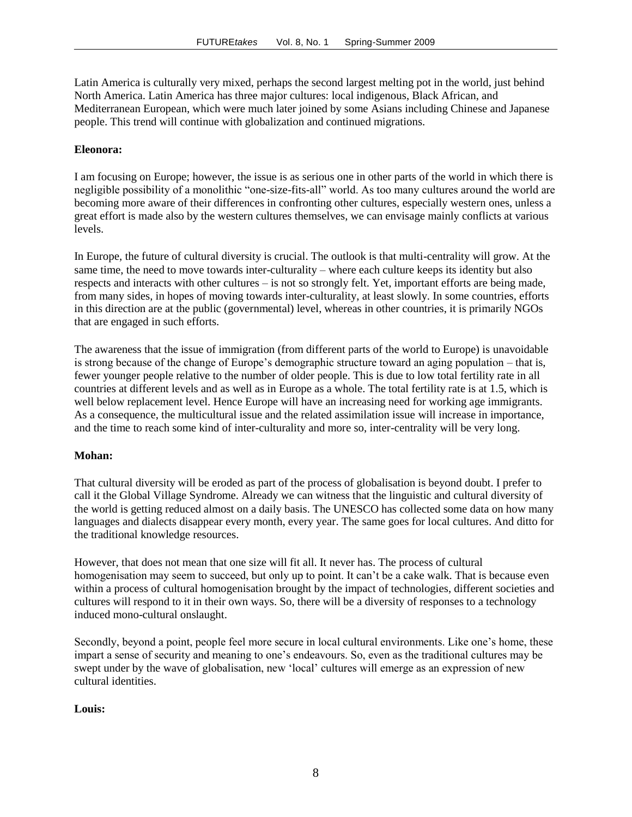Latin America is culturally very mixed, perhaps the second largest melting pot in the world, just behind North America. Latin America has three major cultures: local indigenous, Black African, and Mediterranean European, which were much later joined by some Asians including Chinese and Japanese people. This trend will continue with globalization and continued migrations.

#### **Eleonora:**

I am focusing on Europe; however, the issue is as serious one in other parts of the world in which there is negligible possibility of a monolithic "one-size-fits-all" world. As too many cultures around the world are becoming more aware of their differences in confronting other cultures, especially western ones, unless a great effort is made also by the western cultures themselves, we can envisage mainly conflicts at various levels.

In Europe, the future of cultural diversity is crucial. The outlook is that multi-centrality will grow. At the same time, the need to move towards inter-culturality – where each culture keeps its identity but also respects and interacts with other cultures – is not so strongly felt. Yet, important efforts are being made, from many sides, in hopes of moving towards inter-culturality, at least slowly. In some countries, efforts in this direction are at the public (governmental) level, whereas in other countries, it is primarily NGOs that are engaged in such efforts.

The awareness that the issue of immigration (from different parts of the world to Europe) is unavoidable is strong because of the change of Europe's demographic structure toward an aging population – that is, fewer younger people relative to the number of older people. This is due to low total fertility rate in all countries at different levels and as well as in Europe as a whole. The total fertility rate is at 1.5, which is well below replacement level. Hence Europe will have an increasing need for working age immigrants. As a consequence, the multicultural issue and the related assimilation issue will increase in importance, and the time to reach some kind of inter-culturality and more so, inter-centrality will be very long.

#### **Mohan:**

That cultural diversity will be eroded as part of the process of globalisation is beyond doubt. I prefer to call it the Global Village Syndrome. Already we can witness that the linguistic and cultural diversity of the world is getting reduced almost on a daily basis. The UNESCO has collected some data on how many languages and dialects disappear every month, every year. The same goes for local cultures. And ditto for the traditional knowledge resources.

However, that does not mean that one size will fit all. It never has. The process of cultural homogenisation may seem to succeed, but only up to point. It can"t be a cake walk. That is because even within a process of cultural homogenisation brought by the impact of technologies, different societies and cultures will respond to it in their own ways. So, there will be a diversity of responses to a technology induced mono-cultural onslaught.

Secondly, beyond a point, people feel more secure in local cultural environments. Like one"s home, these impart a sense of security and meaning to one"s endeavours. So, even as the traditional cultures may be swept under by the wave of globalisation, new "local" cultures will emerge as an expression of new cultural identities.

#### **Louis:**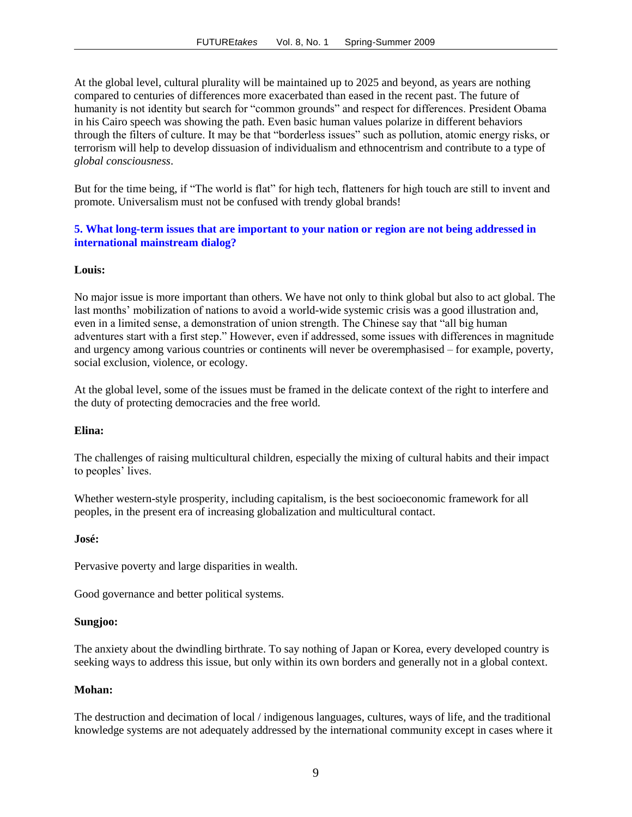At the global level, cultural plurality will be maintained up to 2025 and beyond, as years are nothing compared to centuries of differences more exacerbated than eased in the recent past. The future of humanity is not identity but search for "common grounds" and respect for differences. President Obama in his Cairo speech was showing the path. Even basic human values polarize in different behaviors through the filters of culture. It may be that "borderless issues" such as pollution, atomic energy risks, or terrorism will help to develop dissuasion of individualism and ethnocentrism and contribute to a type of *global consciousness*.

But for the time being, if "The world is flat" for high tech, flatteners for high touch are still to invent and promote. Universalism must not be confused with trendy global brands!

# **5. What long-term issues that are important to your nation or region are not being addressed in international mainstream dialog?**

#### **Louis:**

No major issue is more important than others. We have not only to think global but also to act global. The last months" mobilization of nations to avoid a world-wide systemic crisis was a good illustration and, even in a limited sense, a demonstration of union strength. The Chinese say that "all big human adventures start with a first step." However, even if addressed, some issues with differences in magnitude and urgency among various countries or continents will never be overemphasised – for example, poverty, social exclusion, violence, or ecology.

At the global level, some of the issues must be framed in the delicate context of the right to interfere and the duty of protecting democracies and the free world.

#### **Elina:**

The challenges of raising multicultural children, especially the mixing of cultural habits and their impact to peoples' lives.

Whether western-style prosperity, including capitalism, is the best socioeconomic framework for all peoples, in the present era of increasing globalization and multicultural contact.

#### **José:**

Pervasive poverty and large disparities in wealth.

Good governance and better political systems.

#### **Sungjoo:**

The anxiety about the dwindling birthrate. To say nothing of Japan or Korea, every developed country is seeking ways to address this issue, but only within its own borders and generally not in a global context.

#### **Mohan:**

The destruction and decimation of local / indigenous languages, cultures, ways of life, and the traditional knowledge systems are not adequately addressed by the international community except in cases where it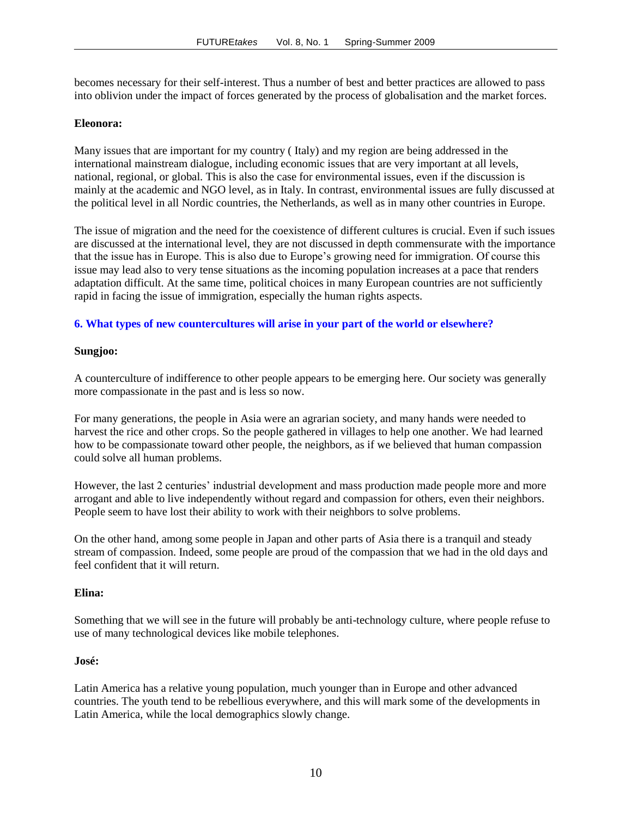becomes necessary for their self-interest. Thus a number of best and better practices are allowed to pass into oblivion under the impact of forces generated by the process of globalisation and the market forces.

#### **Eleonora:**

Many issues that are important for my country ( Italy) and my region are being addressed in the international mainstream dialogue, including economic issues that are very important at all levels, national, regional, or global. This is also the case for environmental issues, even if the discussion is mainly at the academic and NGO level, as in Italy. In contrast, environmental issues are fully discussed at the political level in all Nordic countries, the Netherlands, as well as in many other countries in Europe.

The issue of migration and the need for the coexistence of different cultures is crucial. Even if such issues are discussed at the international level, they are not discussed in depth commensurate with the importance that the issue has in Europe. This is also due to Europe"s growing need for immigration. Of course this issue may lead also to very tense situations as the incoming population increases at a pace that renders adaptation difficult. At the same time, political choices in many European countries are not sufficiently rapid in facing the issue of immigration, especially the human rights aspects.

#### **6. What types of new countercultures will arise in your part of the world or elsewhere?**

#### **Sungjoo:**

A counterculture of indifference to other people appears to be emerging here. Our society was generally more compassionate in the past and is less so now.

For many generations, the people in Asia were an agrarian society, and many hands were needed to harvest the rice and other crops. So the people gathered in villages to help one another. We had learned how to be compassionate toward other people, the neighbors, as if we believed that human compassion could solve all human problems.

However, the last 2 centuries' industrial development and mass production made people more and more arrogant and able to live independently without regard and compassion for others, even their neighbors. People seem to have lost their ability to work with their neighbors to solve problems.

On the other hand, among some people in Japan and other parts of Asia there is a tranquil and steady stream of compassion. Indeed, some people are proud of the compassion that we had in the old days and feel confident that it will return.

#### **Elina:**

Something that we will see in the future will probably be anti-technology culture, where people refuse to use of many technological devices like mobile telephones.

#### **José:**

Latin America has a relative young population, much younger than in Europe and other advanced countries. The youth tend to be rebellious everywhere, and this will mark some of the developments in Latin America, while the local demographics slowly change.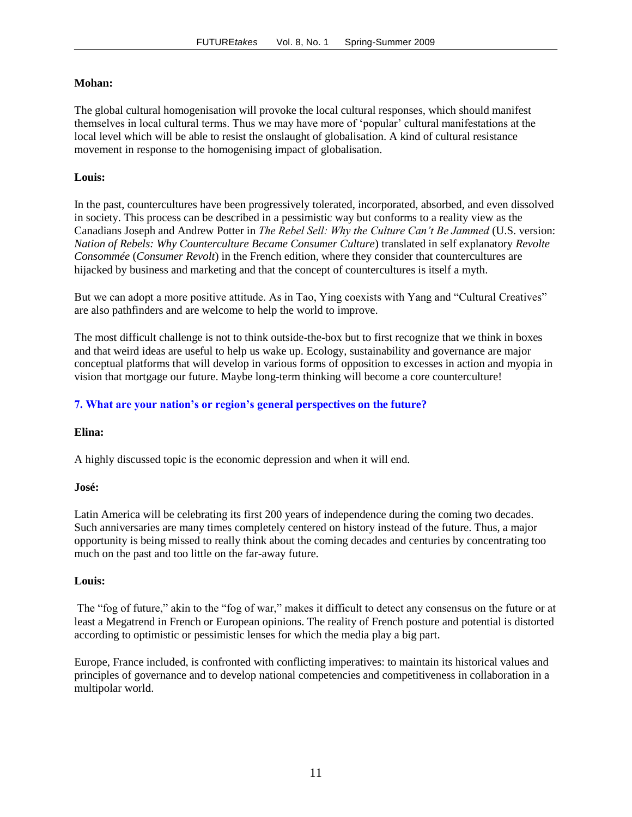#### **Mohan:**

The global cultural homogenisation will provoke the local cultural responses, which should manifest themselves in local cultural terms. Thus we may have more of "popular" cultural manifestations at the local level which will be able to resist the onslaught of globalisation. A kind of cultural resistance movement in response to the homogenising impact of globalisation.

# **Louis:**

In the past, countercultures have been progressively tolerated, incorporated, absorbed, and even dissolved in society. This process can be described in a pessimistic way but conforms to a reality view as the Canadians Joseph and Andrew Potter in *The Rebel Sell: Why the Culture Can't Be Jammed* (U.S. version: *Nation of Rebels: Why Counterculture Became Consumer Culture*) translated in self explanatory *Revolte Consommée* (*Consumer Revolt*) in the French edition, where they consider that countercultures are hijacked by business and marketing and that the concept of countercultures is itself a myth.

But we can adopt a more positive attitude. As in Tao, Ying coexists with Yang and "Cultural Creatives" are also pathfinders and are welcome to help the world to improve.

The most difficult challenge is not to think outside-the-box but to first recognize that we think in boxes and that weird ideas are useful to help us wake up. Ecology, sustainability and governance are major conceptual platforms that will develop in various forms of opposition to excesses in action and myopia in vision that mortgage our future. Maybe long-term thinking will become a core counterculture!

# **7. What are your nation's or region's general perspectives on the future?**

#### **Elina:**

A highly discussed topic is the economic depression and when it will end.

#### **José:**

Latin America will be celebrating its first 200 years of independence during the coming two decades. Such anniversaries are many times completely centered on history instead of the future. Thus, a major opportunity is being missed to really think about the coming decades and centuries by concentrating too much on the past and too little on the far-away future.

#### **Louis:**

The "fog of future," akin to the "fog of war," makes it difficult to detect any consensus on the future or at least a Megatrend in French or European opinions. The reality of French posture and potential is distorted according to optimistic or pessimistic lenses for which the media play a big part.

Europe, France included, is confronted with conflicting imperatives: to maintain its historical values and principles of governance and to develop national competencies and competitiveness in collaboration in a multipolar world.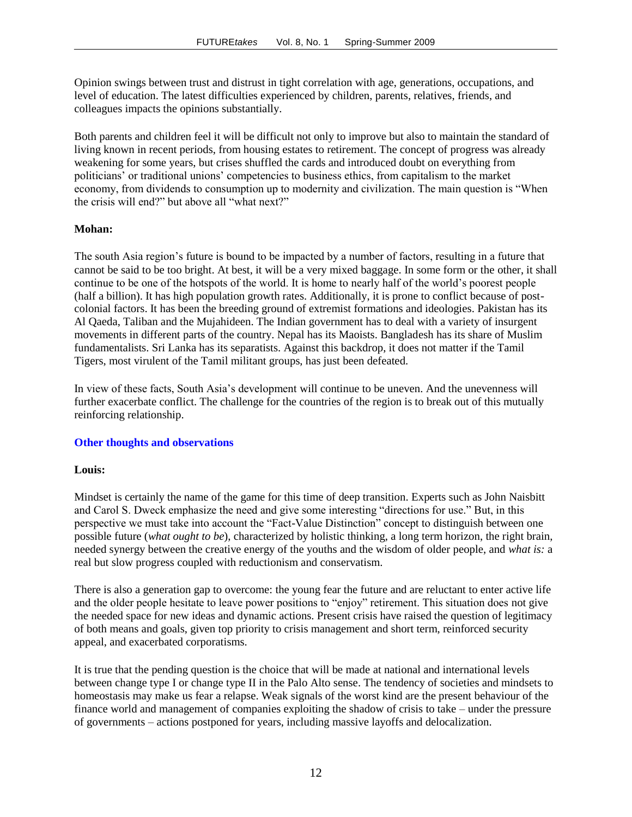Opinion swings between trust and distrust in tight correlation with age, generations, occupations, and level of education. The latest difficulties experienced by children, parents, relatives, friends, and colleagues impacts the opinions substantially.

Both parents and children feel it will be difficult not only to improve but also to maintain the standard of living known in recent periods, from housing estates to retirement. The concept of progress was already weakening for some years, but crises shuffled the cards and introduced doubt on everything from politicians" or traditional unions" competencies to business ethics, from capitalism to the market economy, from dividends to consumption up to modernity and civilization. The main question is "When the crisis will end?" but above all "what next?"

#### **Mohan:**

The south Asia region"s future is bound to be impacted by a number of factors, resulting in a future that cannot be said to be too bright. At best, it will be a very mixed baggage. In some form or the other, it shall continue to be one of the hotspots of the world. It is home to nearly half of the world"s poorest people (half a billion). It has high population growth rates. Additionally, it is prone to conflict because of postcolonial factors. It has been the breeding ground of extremist formations and ideologies. Pakistan has its Al Qaeda, Taliban and the Mujahideen. The Indian government has to deal with a variety of insurgent movements in different parts of the country. Nepal has its Maoists. Bangladesh has its share of Muslim fundamentalists. Sri Lanka has its separatists. Against this backdrop, it does not matter if the Tamil Tigers, most virulent of the Tamil militant groups, has just been defeated.

In view of these facts, South Asia"s development will continue to be uneven. And the unevenness will further exacerbate conflict. The challenge for the countries of the region is to break out of this mutually reinforcing relationship.

#### **Other thoughts and observations**

#### **Louis:**

Mindset is certainly the name of the game for this time of deep transition. Experts such as John Naisbitt and Carol S. Dweck emphasize the need and give some interesting "directions for use." But, in this perspective we must take into account the "Fact-Value Distinction" concept to distinguish between one possible future (*what ought to be*), characterized by holistic thinking, a long term horizon, the right brain, needed synergy between the creative energy of the youths and the wisdom of older people, and *what is:* a real but slow progress coupled with reductionism and conservatism.

There is also a generation gap to overcome: the young fear the future and are reluctant to enter active life and the older people hesitate to leave power positions to "enjoy" retirement. This situation does not give the needed space for new ideas and dynamic actions. Present crisis have raised the question of legitimacy of both means and goals, given top priority to crisis management and short term, reinforced security appeal, and exacerbated corporatisms.

It is true that the pending question is the choice that will be made at national and international levels between change type I or change type II in the Palo Alto sense. The tendency of societies and mindsets to homeostasis may make us fear a relapse. Weak signals of the worst kind are the present behaviour of the finance world and management of companies exploiting the shadow of crisis to take – under the pressure of governments – actions postponed for years, including massive layoffs and delocalization.